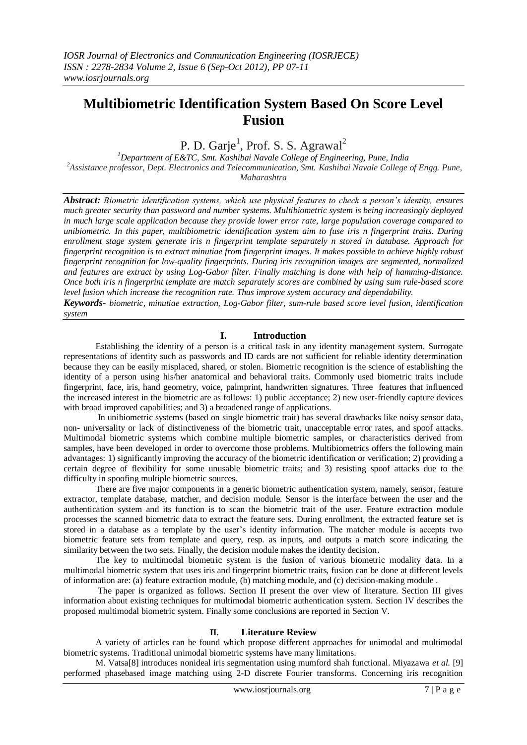# **Multibiometric Identification System Based On Score Level Fusion**

P. D. Garje<sup>1</sup>, Prof. S. S. Agrawal<sup>2</sup>

*<sup>1</sup>Department of E&TC, Smt. Kashibai Navale College of Engineering, Pune, India <sup>2</sup>Assistance professor, Dept. Electronics and Telecommunication, Smt. Kashibai Navale College of Engg. Pune, Maharashtra*

*Abstract: Biometric identification systems, which use physical features to check a person's identity, ensures much greater security than password and number systems. Multibiometric system is being increasingly deployed in much large scale application because they provide lower error rate, large population coverage compared to unibiometric. In this paper, multibiometric identification system aim to fuse iris n fingerprint traits. During enrollment stage system generate iris n fingerprint template separately n stored in database. Approach for fingerprint recognition is to extract minutiae from fingerprint images. It makes possible to achieve highly robust fingerprint recognition for low-quality fingerprints. During iris recognition images are segmented, normalized and features are extract by using Log-Gabor filter. Finally matching is done with help of hamming-distance. Once both iris n fingerprint template are match separately scores are combined by using sum rule-based score level fusion which increase the recognition rate. Thus improve system accuracy and dependability.*

*Keywords- biometric, minutiae extraction, Log-Gabor filter, sum-rule based score level fusion, identification system*

## **I. Introduction**

 Establishing the identity of a person is a critical task in any identity management system. Surrogate representations of identity such as passwords and ID cards are not sufficient for reliable identity determination because they can be easily misplaced, shared, or stolen. Biometric recognition is the science of establishing the identity of a person using his/her anatomical and behavioral traits. Commonly used biometric traits include fingerprint, face, iris, hand geometry, voice, palmprint, handwritten signatures. Three features that influenced the increased interest in the biometric are as follows: 1) public acceptance; 2) new user-friendly capture devices with broad improved capabilities; and 3) a broadened range of applications.

 In unibiometric systems (based on single biometric trait) has several drawbacks like noisy sensor data, non- universality or lack of distinctiveness of the biometric trait, unacceptable error rates, and spoof attacks. Multimodal biometric systems which combine multiple biometric samples, or characteristics derived from samples, have been developed in order to overcome those problems. Multibiometrics offers the following main advantages: 1) significantly improving the accuracy of the biometric identification or verification; 2) providing a certain degree of flexibility for some unusable biometric traits; and 3) resisting spoof attacks due to the difficulty in spoofing multiple biometric sources.

 There are five major components in a generic biometric authentication system, namely, sensor, feature extractor, template database, matcher, and decision module. Sensor is the interface between the user and the authentication system and its function is to scan the biometric trait of the user. Feature extraction module processes the scanned biometric data to extract the feature sets. During enrollment, the extracted feature set is stored in a database as a template by the user's identity information. The matcher module is accepts two biometric feature sets from template and query, resp. as inputs, and outputs a match score indicating the similarity between the two sets. Finally, the decision module makes the identity decision.

 The key to multimodal biometric system is the fusion of various biometric modality data. In a multimodal biometric system that uses iris and fingerprint biometric traits, fusion can be done at different levels of information are: (a) feature extraction module, (b) matching module, and (c) decision-making module .

The paper is organized as follows. Section II present the over view of literature. Section III gives information about existing techniques for multimodal biometric authentication system. Section IV describes the proposed multimodal biometric system. Finally some conclusions are reported in Section V.

### **II. Literature Review**

A variety of articles can be found which propose different approaches for unimodal and multimodal biometric systems. Traditional unimodal biometric systems have many limitations.

 M. Vatsa[8] introduces nonideal iris segmentation using mumford shah functional. Miyazawa *et al.* [9] performed phasebased image matching using 2-D discrete Fourier transforms. Concerning iris recognition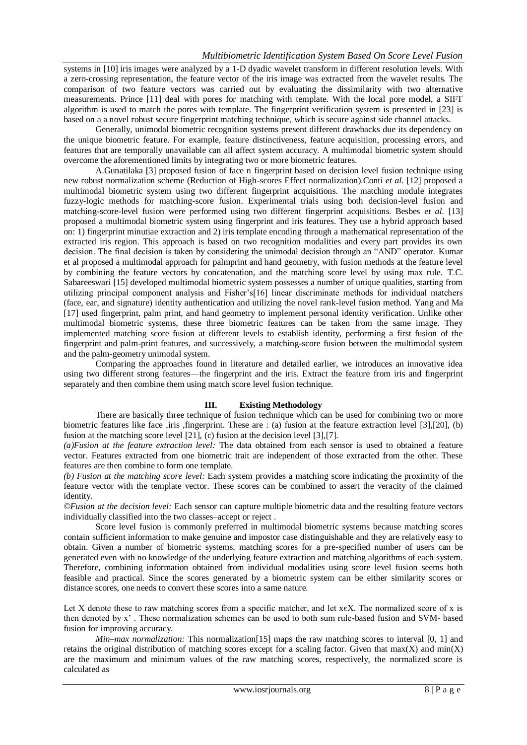systems in [10] iris images were analyzed by a 1-D dyadic wavelet transform in different resolution levels. With a zero-crossing representation, the feature vector of the iris image was extracted from the wavelet results. The comparison of two feature vectors was carried out by evaluating the dissimilarity with two alternative measurements. Prince [11] deal with pores for matching with template. With the local pore model, a SIFT algorithm is used to match the pores with template. The fingerprint verification system is presented in [23] is based on a a novel robust secure fingerprint matching technique, which is secure against side channel attacks.

 Generally, unimodal biometric recognition systems present different drawbacks due its dependency on the unique biometric feature. For example, feature distinctiveness, feature acquisition, processing errors, and features that are temporally unavailable can all affect system accuracy. A multimodal biometric system should overcome the aforementioned limits by integrating two or more biometric features.

 A.Gunatilaka [3] proposed fusion of face n fingerprint based on decision level fusion technique using new robust normalization scheme (Reduction of High-scores Effect normalization).Conti *et al*. [12] proposed a multimodal biometric system using two different fingerprint acquisitions. The matching module integrates fuzzy-logic methods for matching-score fusion. Experimental trials using both decision-level fusion and matching-score-level fusion were performed using two different fingerprint acquisitions. Besbes *et al.* [13] proposed a multimodal biometric system using fingerprint and iris features. They use a hybrid approach based on: 1) fingerprint minutiae extraction and 2) iris template encoding through a mathematical representation of the extracted iris region. This approach is based on two recognition modalities and every part provides its own decision. The final decision is taken by considering the unimodal decision through an "AND" operator. Kumar et al proposed a multimodal approach for palmprint and hand geometry, with fusion methods at the feature level by combining the feature vectors by concatenation, and the matching score level by using max rule. T.C. Sabareeswari [15] developed multimodal biometric system possesses a number of unique qualities, starting from utilizing principal component analysis and Fisher's[16] linear discriminate methods for individual matchers (face, ear, and signature) identity authentication and utilizing the novel rank-level fusion method. Yang and Ma [17] used fingerprint, palm print, and hand geometry to implement personal identity verification. Unlike other multimodal biometric systems, these three biometric features can be taken from the same image. They implemented matching score fusion at different levels to establish identity, performing a first fusion of the fingerprint and palm-print features, and successively, a matching-score fusion between the multimodal system and the palm-geometry unimodal system.

 Comparing the approaches found in literature and detailed earlier, we introduces an innovative idea using two different strong features—the fingerprint and the iris. Extract the feature from iris and fingerprint separately and then combine them using match score level fusion technique.

## **III. Existing Methodology**

There are basically three technique of fusion technique which can be used for combining two or more biometric features like face ,iris ,fingerprint. These are : (a) fusion at the feature extraction level [3],[20], (b) fusion at the matching score level [21], (c) fusion at the decision level [3],[7].

*(a)Fusion at the feature extraction level:* The data obtained from each sensor is used to obtained a feature vector. Features extracted from one biometric trait are independent of those extracted from the other. These features are then combine to form one template.

*(b) Fusion at the matching score level:* Each system provides a matching score indicating the proximity of the feature vector with the template vector. These scores can be combined to assert the veracity of the claimed identity.

*©Fusion at the decision level:* Each sensor can capture multiple biometric data and the resulting feature vectors individually classified into the two classes–accept or reject .

 Score level fusion is commonly preferred in multimodal biometric systems because matching scores contain sufficient information to make genuine and impostor case distinguishable and they are relatively easy to obtain. Given a number of biometric systems, matching scores for a pre-specified number of users can be generated even with no knowledge of the underlying feature extraction and matching algorithms of each system. Therefore, combining information obtained from individual modalities using score level fusion seems both feasible and practical. Since the scores generated by a biometric system can be either similarity scores or distance scores, one needs to convert these scores into a same nature.

Let X denote these to raw matching scores from a specific matcher, and let xeX. The normalized score of x is then denoted by x' . These normalization schemes can be used to both sum rule-based fusion and SVM- based fusion for improving accuracy.

*Min–max normalization:* This normalization[15] maps the raw matching scores to interval [0, 1] and retains the original distribution of matching scores except for a scaling factor. Given that max(X) and min(X) are the maximum and minimum values of the raw matching scores, respectively, the normalized score is calculated as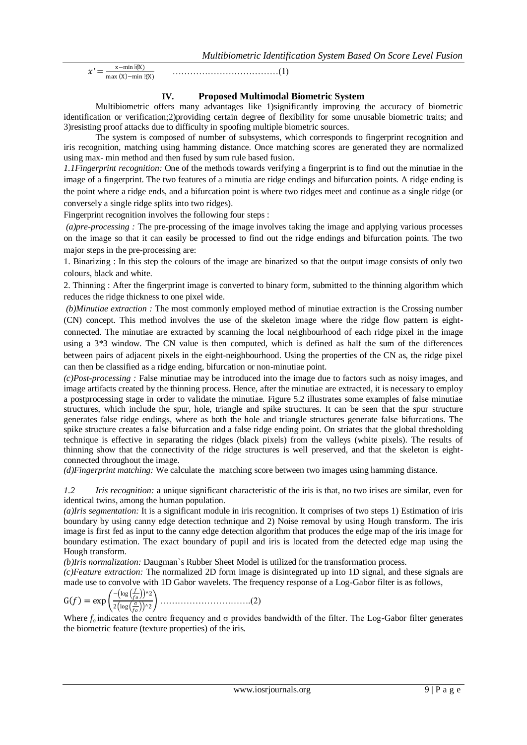$x' =$ x−min (X)  $max(X) - min(X)$ 

………………………………(1)

## **IV. Proposed Multimodal Biometric System**

 Multibiometric offers many advantages like 1)significantly improving the accuracy of biometric identification or verification;2)providing certain degree of flexibility for some unusable biometric traits; and 3)resisting proof attacks due to difficulty in spoofing multiple biometric sources.

 The system is composed of number of subsystems, which corresponds to fingerprint recognition and iris recognition, matching using hamming distance. Once matching scores are generated they are normalized using max- min method and then fused by sum rule based fusion.

*1.1Fingerprint recognition:* One of the methods towards verifying a fingerprint is to find out the minutiae in the image of a fingerprint. The two features of a minutia are ridge endings and bifurcation points. A ridge ending is the point where a ridge ends, and a bifurcation point is where two ridges meet and continue as a single ridge (or conversely a single ridge splits into two ridges).

Fingerprint recognition involves the following four steps :

*(a)pre-processing :* The pre-processing of the image involves taking the image and applying various processes on the image so that it can easily be processed to find out the ridge endings and bifurcation points. The two major steps in the pre-processing are:

1. Binarizing : In this step the colours of the image are binarized so that the output image consists of only two colours, black and white.

2. Thinning : After the fingerprint image is converted to binary form, submitted to the thinning algorithm which reduces the ridge thickness to one pixel wide.

*(b)Minutiae extraction :* The most commonly employed method of minutiae extraction is the Crossing number (CN) concept. This method involves the use of the skeleton image where the ridge flow pattern is eightconnected. The minutiae are extracted by scanning the local neighbourhood of each ridge pixel in the image using a 3*\**3 window. The CN value is then computed, which is defined as half the sum of the differences between pairs of adjacent pixels in the eight-neighbourhood. Using the properties of the CN as, the ridge pixel can then be classified as a ridge ending, bifurcation or non-minutiae point.

*(c)Post-processing :* False minutiae may be introduced into the image due to factors such as noisy images, and image artifacts created by the thinning process. Hence, after the minutiae are extracted, it is necessary to employ a postprocessing stage in order to validate the minutiae. Figure 5.2 illustrates some examples of false minutiae structures, which include the spur, hole, triangle and spike structures. It can be seen that the spur structure generates false ridge endings, where as both the hole and triangle structures generate false bifurcations. The spike structure creates a false bifurcation and a false ridge ending point. On striates that the global thresholding technique is effective in separating the ridges (black pixels) from the valleys (white pixels). The results of thinning show that the connectivity of the ridge structures is well preserved, and that the skeleton is eightconnected throughout the image.

*(d)Fingerprint matching:* We calculate the matching score between two images using hamming distance.

*1.2 Iris recognition:* a unique significant characteristic of the iris is that, no two irises are similar, even for identical twins, among the human population.

*(a)Iris segmentation:* It is a significant module in iris recognition. It comprises of two steps 1) Estimation of iris boundary by using canny edge detection technique and 2) Noise removal by using Hough transform. The iris image is first fed as input to the canny edge detection algorithm that produces the edge map of the iris image for boundary estimation. The exact boundary of pupil and iris is located from the detected edge map using the Hough transform.

*(b)Iris normalization:* Daugman`s Rubber Sheet Model is utilized for the transformation process.

*(c)Feature extraction:* The normalized 2D form image is disintegrated up into 1D signal, and these signals are made use to convolve with 1D Gabor wavelets. The frequency response of a Log-Gabor filter is as follows,

G = exp − log ^2 2 log σ ^2 ………………………….(2)

Where *fo* indicates the centre frequency and σ provides bandwidth of the filter. The Log-Gabor filter generates the biometric feature (texture properties) of the iris.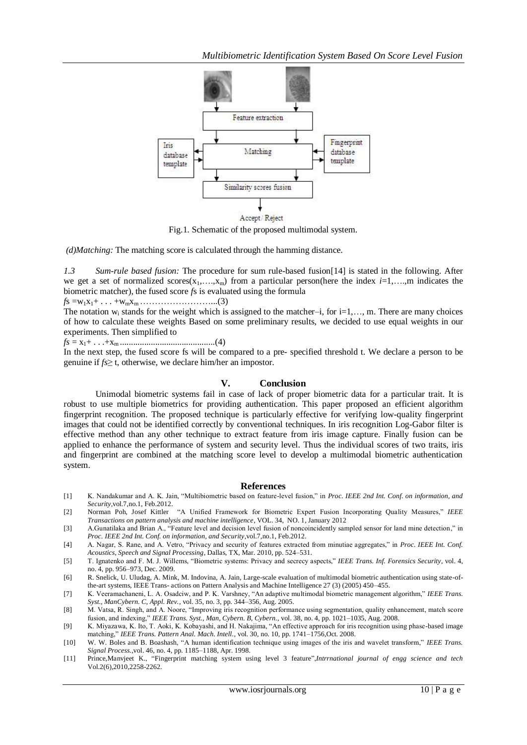*Multibiometric Identification System Based On Score Level Fusion*



Fig.1. Schematic of the proposed multimodal system.

*(d)Matching:* The matching score is calculated through the hamming distance.

*1.3 Sum-rule based fusion:* The procedure for sum rule-based fusion[14] is stated in the following. After we get a set of normalized scores( $x_1,...,x_m$ ) from a particular person(here the index  $i=1,...,m$  indicates the biometric matcher), the fused score *f*s is evaluated using the formula

*f*s =w1x1+ . . . +wmxm……………………...(3)

The notation  $w_i$  stands for the weight which is assigned to the matcher–i, for i=1,..., m. There are many choices of how to calculate these weights Based on some preliminary results, we decided to use equal weights in our experiments. Then simplified to

*fs* = x1+ . . .+x<sup>m</sup> ...........................................(4)

In the next step, the fused score fs will be compared to a pre- specified threshold t. We declare a person to be genuine if *fs*≥ t, otherwise, we declare him/her an impostor.

## **V. Conclusion**

 Unimodal biometric systems fail in case of lack of proper biometric data for a particular trait. It is robust to use multiple biometrics for providing authentication. This paper proposed an efficient algorithm fingerprint recognition. The proposed technique is particularly effective for verifying low-quality fingerprint images that could not be identified correctly by conventional techniques. In iris recognition Log-Gabor filter is effective method than any other technique to extract feature from iris image capture. Finally fusion can be applied to enhance the performance of system and security level. Thus the individual scores of two traits, iris and fingerprint are combined at the matching score level to develop a multimodal biometric authentication system.

#### **References**

- [1] K. Nandakumar and A. K. Jain, "Multibiometric based on feature-level fusion," in *Proc. IEEE 2nd Int. Conf. on information, and Security*,vol.7,no.1, Feb.2012.
- [2] Norman Poh, Josef Kittler "A Unified Framework for Biometric Expert Fusion Incorporating Quality Measures," *IEEE Transactions on pattern analysis and machine intelligence*, VOL. 34, NO. 1, January 2012
- [3] A.Gunatilaka and Brian A., "Feature level and decision level fusion of noncoincidently sampled sensor for land mine detection," in *Proc. IEEE 2nd Int. Conf. on information, and Security*,vol.7,no.1, Feb.2012.
- [4] A. Nagar, S. Rane, and A. Vetro, "Privacy and security of features extracted from minutiae aggregates," in *Proc. IEEE Int. Conf. Acoustics, Speech and Signal Processing*, Dallas, TX, Mar. 2010, pp. 524–531.
- [5] T. Ignatenko and F. M. J. Willems, "Biometric systems: Privacy and secrecy aspects," IEEE Trans. Inf. Forensics Security, vol. 4, no. 4, pp. 956–973, Dec. 2009.
- [6] R. Snelick, U. Uludag, A. Mink, M. Indovina, A. Jain, Large-scale evaluation of multimodal biometric authentication using state-ofthe-art systems, IEEE Trans- actions on Pattern Analysis and Machine Intelligence 27 (3) (2005) 450–455.
- [7] K. Veeramachaneni, L. A. Osadciw, and P. K. Varshney, "An adaptive multimodal biometric management algorithm," *IEEE Trans. Syst., ManCybern. C, Appl. Rev.*, vol. 35, no. 3, pp. 344–356, Aug. 2005.
- [8] M. Vatsa, R. Singh, and A. Noore, "Improving iris recognition performance using segmentation, quality enhancement, match score fusion, and indexing,‖ *IEEE Trans. Syst., Man, Cybern. B, Cybern.*, vol. 38, no. 4, pp. 1021–1035, Aug. 2008.
- [9] K. Miyazawa, K. Ito, T. Aoki, K. Kobayashi, and H. Nakajima, "An effective approach for iris recognition using phase-based image matching," IEEE Trans. Pattern Anal. Mach. Intell., vol. 30, no. 10, pp. 1741-1756,Oct. 2008.
- [10] W. W. Boles and B. Boashash, "A human identification technique using images of the iris and wavelet transform," *IEEE Trans. Signal Process.*,vol. 46, no. 4, pp. 1185–1188, Apr. 1998.
- [11] Prince, Manvjeet K., "Fingerprint matching system using level 3 feature", *Intrrnational journal of engg science and tech* Vol.2(6),2010,2258-2262*.*